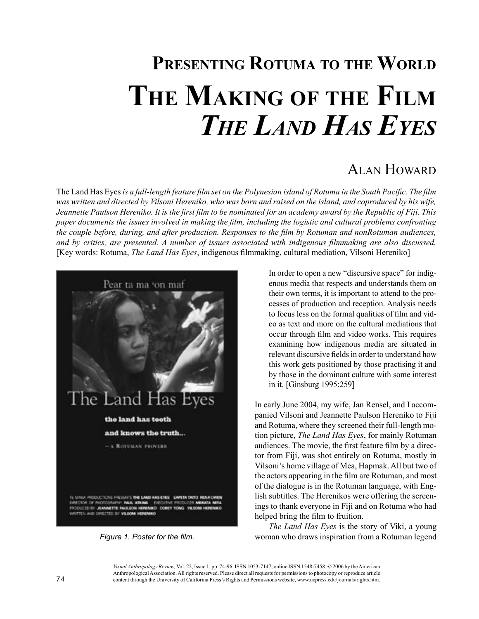# **PRESENTING ROTUMA TO THE WORLD THE MAKING OF THE FILM** *THE LAND HAS EYES*

# ALAN HOWARD

The Land Has Eyes *is a full-length feature film set on the Polynesian island of Rotuma in the South Pacific. The film*  was written and directed by Vilsoni Hereniko, who was born and raised on the island, and coproduced by his wife, *Jeannette Paulson Hereniko. It is the first film to be nominated for an academy award by the Republic of Fiji. This paper documents the issues involved in making the film, including the logistic and cultural problems confronting the couple before, during, and after production. Responses to the film by Rotuman and nonRotuman audiences, and by critics, are presented. A number of issues associated with indigenous filmmaking are also discussed.*  [Key words: Rotuma, *The Land Has Eyes*, indigenous filmmaking, cultural mediation, Vilsoni Hereniko]



*Figure 1. Poster for the film.*

In order to open a new "discursive space" for indigenous media that respects and understands them on their own terms, it is important to attend to the processes of production and reception. Analysis needs to focus less on the formal qualities of film and video as text and more on the cultural mediations that occur through film and video works. This requires examining how indigenous media are situated in relevant discursive fields in order to understand how this work gets positioned by those practising it and by those in the dominant culture with some interest in it. [Ginsburg 1995:259]

In early June 2004, my wife, Jan Rensel, and I accompanied Vilsoni and Jeannette Paulson Hereniko to Fiji and Rotuma, where they screened their full-length motion picture, *The Land Has Eyes*, for mainly Rotuman audiences. The movie, the first feature film by a director from Fiji, was shot entirely on Rotuma, mostly in Vilsoni's home village of Mea, Hapmak. All but two of the actors appearing in the film are Rotuman, and most of the dialogue is in the Rotuman language, with English subtitles. The Herenikos were offering the screenings to thank everyone in Fiji and on Rotuma who had helped bring the film to fruition.

*The Land Has Eyes* is the story of Viki, a young woman who draws inspiration from a Rotuman legend

*Visual Anthropology Review,* Vol. 22, Issue 1, pp. 74-96, ISSN 1053-7147, online ISSN 1548-7458. © 2006 by the American Anthropological Association. All rights reserved. Please direct all requests for permissions to photocopy or reproduce article content through the University of California Press's Rights and Permissions website, www.ucpress.edu/journals/rights.htm.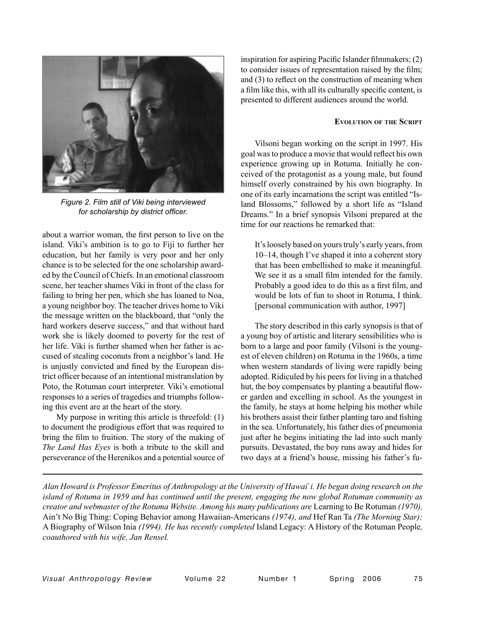

*Figure 2. Film still of Viki being interviewed for scholarship by district officer.*

about a warrior woman, the first person to live on the island. Viki's ambition is to go to Fiji to further her education, but her family is very poor and her only chance is to be selected for the one scholarship awarded by the Council of Chiefs. In an emotional classroom scene, her teacher shames Viki in front of the class for failing to bring her pen, which she has loaned to Noa, a young neighbor boy. The teacher drives home to Viki the message written on the blackboard, that "only the hard workers deserve success," and that without hard work she is likely doomed to poverty for the rest of her life. Viki is further shamed when her father is accused of stealing coconuts from a neighbor's land. He is unjustly convicted and fined by the European district officer because of an intentional mistranslation by Poto, the Rotuman court interpreter. Viki's emotional responses to a series of tragedies and triumphs following this event are at the heart of the story.

My purpose in writing this article is threefold: (1) to document the prodigious effort that was required to bring the film to fruition. The story of the making of *The Land Has Eyes* is both a tribute to the skill and perseverance of the Herenikos and a potential source of

inspiration for aspiring Pacific Islander filmmakers; (2) to consider issues of representation raised by the film; and (3) to reflect on the construction of meaning when a film like this, with all its culturally specific content, is presented to different audiences around the world.

#### **EVOLUTION OF THE SCRIPT**

Vilsoni began working on the script in 1997. His goal was to produce a movie that would reflect his own experience growing up in Rotuma. Initially he conceived of the protagonist as a young male, but found himself overly constrained by his own biography. In one of its early incarnations the script was entitled "Island Blossoms," followed by a short life as "Island Dreams." In a brief synopsis Vilsoni prepared at the time for our reactions he remarked that:

It's loosely based on yours truly's early years, from 10–14, though I've shaped it into a coherent story that has been embellished to make it meaningful. We see it as a small film intended for the family. Probably a good idea to do this as a first film, and would be lots of fun to shoot in Rotuma, I think. [personal communication with author, 1997]

The story described in this early synopsis is that of a young boy of artistic and literary sensibilities who is born to a large and poor family (Vilsoni is the youngest of eleven children) on Rotuma in the 1960s, a time when western standards of living were rapidly being adopted. Ridiculed by his peers for living in a thatched hut, the boy compensates by planting a beautiful flower garden and excelling in school. As the youngest in the family, he stays at home helping his mother while his brothers assist their father planting taro and fishing in the sea. Unfortunately, his father dies of pneumonia just after he begins initiating the lad into such manly pursuits. Devastated, the boy runs away and hides for two days at a friend's house, missing his father's fu-

*Alan Howard is Professor Emeritus of Anthropology at the University of Hawai*`*i. He began doing research on the island of Rotuma in 1959 and has continued until the present, engaging the now global Rotuman community as creator and webmaster of the Rotuma Website. Among his many publications are* Learning to Be Rotuman *(1970),*  Ain't No Big Thing: Coping Behavior among Hawaiian-Americans *(1974), and* Hef Ran Ta *(The Morning Star):*  A Biography of Wilson Inia *(1994). He has recently completed* Island Legacy: A History of the Rotuman People*, coauthored with his wife, Jan Rensel.*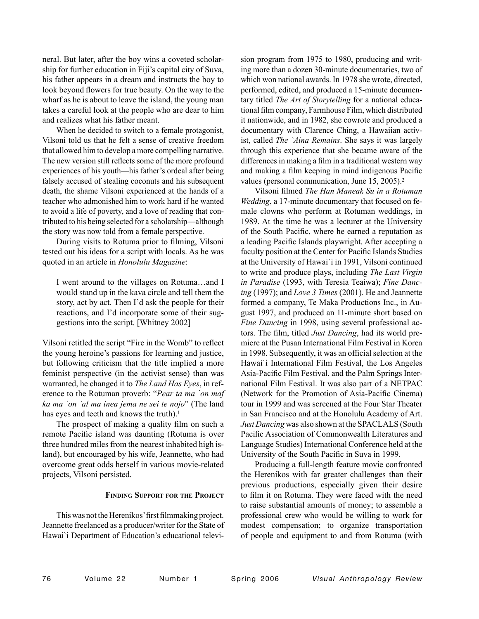neral. But later, after the boy wins a coveted scholarship for further education in Fiji's capital city of Suva, his father appears in a dream and instructs the boy to look beyond flowers for true beauty. On the way to the wharf as he is about to leave the island, the young man takes a careful look at the people who are dear to him and realizes what his father meant.

When he decided to switch to a female protagonist, Vilsoni told us that he felt a sense of creative freedom that allowed him to develop a more compelling narrative. The new version still reflects some of the more profound experiences of his youth—his father's ordeal after being falsely accused of stealing coconuts and his subsequent death, the shame Vilsoni experienced at the hands of a teacher who admonished him to work hard if he wanted to avoid a life of poverty, and a love of reading that contributed to his being selected for a scholarship—although the story was now told from a female perspective.

During visits to Rotuma prior to filming, Vilsoni tested out his ideas for a script with locals. As he was quoted in an article in *Honolulu Magazine*:

I went around to the villages on Rotuma…and I would stand up in the kava circle and tell them the story, act by act. Then I'd ask the people for their reactions, and I'd incorporate some of their suggestions into the script. [Whitney 2002]

Vilsoni retitled the script "Fire in the Womb" to reflect the young heroine's passions for learning and justice, but following criticism that the title implied a more feminist perspective (in the activist sense) than was warranted, he changed it to *The Land Has Eyes*, in reference to the Rotuman proverb: "*Pear ta ma `on maf ka ma `on `al ma inea jema ne sei te nojo*" (The land has eyes and teeth and knows the truth).<sup>1</sup>

The prospect of making a quality film on such a remote Pacific island was daunting (Rotuma is over three hundred miles from the nearest inhabited high island), but encouraged by his wife, Jeannette, who had overcome great odds herself in various movie-related projects, Vilsoni persisted.

#### **FINDING SUPPORT FOR THE PROJECT**

This was not the Herenikos' first filmmaking project. Jeannette freelanced as a producer/writer for the State of Hawai`i Department of Education's educational television program from 1975 to 1980, producing and writing more than a dozen 30-minute documentaries, two of which won national awards. In 1978 she wrote, directed, performed, edited, and produced a 15-minute documentary titled *The Art of Storytelling* for a national educational film company, Farmhouse Film, which distributed it nationwide, and in 1982, she cowrote and produced a documentary with Clarence Ching, a Hawaiian activist, called *The `Aina Remains*. She says it was largely through this experience that she became aware of the differences in making a film in a traditional western way and making a film keeping in mind indigenous Pacific values (personal communication, June 15, 2005).2

Vilsoni filmed *The Han Maneak Su in a Rotuman Wedding*, a 17-minute documentary that focused on female clowns who perform at Rotuman weddings, in 1989. At the time he was a lecturer at the University of the South Pacific, where he earned a reputation as a leading Pacific Islands playwright. After accepting a faculty position at the Center for Pacific Islands Studies at the University of Hawai`i in 1991, Vilsoni continued to write and produce plays, including *The Last Virgin in Paradise* (1993, with Teresia Teaiwa); *Fine Dancing* (1997); and *Love 3 Times* (2001). He and Jeannette formed a company, Te Maka Productions Inc., in August 1997, and produced an 11-minute short based on *Fine Dancing* in 1998, using several professional actors. The film, titled *Just Dancing*, had its world premiere at the Pusan International Film Festival in Korea in 1998. Subsequently, it was an official selection at the Hawai`i International Film Festival, the Los Angeles Asia-Pacific Film Festival, and the Palm Springs International Film Festival. It was also part of a NETPAC (Network for the Promotion of Asia-Pacific Cinema) tour in 1999 and was screened at the Four Star Theater in San Francisco and at the Honolulu Academy of Art. *Just Dancing* was also shown at the SPACLALS (South Pacific Association of Commonwealth Literatures and Language Studies) International Conference held at the University of the South Pacific in Suva in 1999.

Producing a full-length feature movie confronted the Herenikos with far greater challenges than their previous productions, especially given their desire to film it on Rotuma. They were faced with the need to raise substantial amounts of money; to assemble a professional crew who would be willing to work for modest compensation; to organize transportation of people and equipment to and from Rotuma (with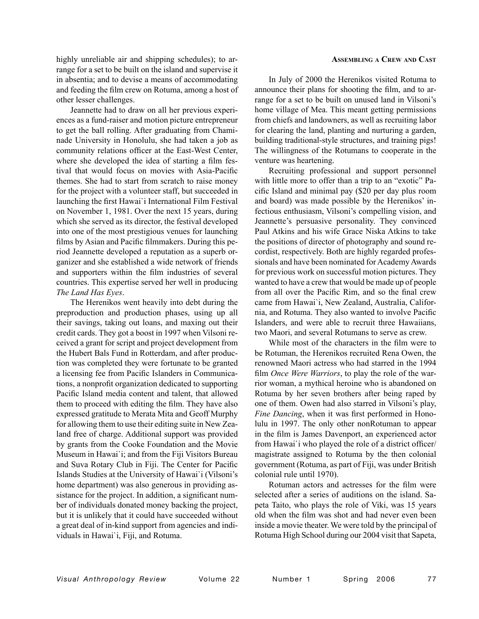highly unreliable air and shipping schedules); to arrange for a set to be built on the island and supervise it in absentia; and to devise a means of accommodating and feeding the film crew on Rotuma, among a host of other lesser challenges.

Jeannette had to draw on all her previous experiences as a fund-raiser and motion picture entrepreneur to get the ball rolling. After graduating from Chaminade University in Honolulu, she had taken a job as community relations officer at the East-West Center, where she developed the idea of starting a film festival that would focus on movies with Asia-Pacific themes. She had to start from scratch to raise money for the project with a volunteer staff, but succeeded in launching the first Hawai`i International Film Festival on November 1, 1981. Over the next 15 years, during which she served as its director, the festival developed into one of the most prestigious venues for launching films by Asian and Pacific filmmakers. During this period Jeannette developed a reputation as a superb organizer and she established a wide network of friends and supporters within the film industries of several countries. This expertise served her well in producing *The Land Has Eyes*.

The Herenikos went heavily into debt during the preproduction and production phases, using up all their savings, taking out loans, and maxing out their credit cards. They got a boost in 1997 when Vilsoni received a grant for script and project development from the Hubert Bals Fund in Rotterdam, and after production was completed they were fortunate to be granted a licensing fee from Pacific Islanders in Communications, a nonprofit organization dedicated to supporting Pacific Island media content and talent, that allowed them to proceed with editing the film. They have also expressed gratitude to Merata Mita and Geoff Murphy for allowing them to use their editing suite in New Zealand free of charge. Additional support was provided by grants from the Cooke Foundation and the Movie Museum in Hawai`i; and from the Fiji Visitors Bureau and Suva Rotary Club in Fiji. The Center for Pacific Islands Studies at the University of Hawai`i (Vilsoni's home department) was also generous in providing assistance for the project. In addition, a significant number of individuals donated money backing the project, but it is unlikely that it could have succeeded without a great deal of in-kind support from agencies and individuals in Hawai`i, Fiji, and Rotuma.

# **ASSEMBLING A CREW AND CAST**

In July of 2000 the Herenikos visited Rotuma to announce their plans for shooting the film, and to arrange for a set to be built on unused land in Vilsoni's home village of Mea. This meant getting permissions from chiefs and landowners, as well as recruiting labor for clearing the land, planting and nurturing a garden, building traditional-style structures, and training pigs! The willingness of the Rotumans to cooperate in the venture was heartening.

Recruiting professional and support personnel with little more to offer than a trip to an "exotic" Pacific Island and minimal pay (\$20 per day plus room and board) was made possible by the Herenikos' infectious enthusiasm, Vilsoni's compelling vision, and Jeannette's persuasive personality. They convinced Paul Atkins and his wife Grace Niska Atkins to take the positions of director of photography and sound recordist, respectively. Both are highly regarded professionals and have been nominated for Academy Awards for previous work on successful motion pictures. They wanted to have a crew that would be made up of people from all over the Pacific Rim, and so the final crew came from Hawai`i, New Zealand, Australia, California, and Rotuma. They also wanted to involve Pacific Islanders, and were able to recruit three Hawaiians, two Maori, and several Rotumans to serve as crew.

While most of the characters in the film were to be Rotuman, the Herenikos recruited Rena Owen, the renowned Maori actress who had starred in the 1994 film *Once Were Warriors*, to play the role of the warrior woman, a mythical heroine who is abandoned on Rotuma by her seven brothers after being raped by one of them. Owen had also starred in Vilsoni's play, *Fine Dancing*, when it was first performed in Honolulu in 1997. The only other nonRotuman to appear in the film is James Davenport, an experienced actor from Hawai`i who played the role of a district officer/ magistrate assigned to Rotuma by the then colonial government (Rotuma, as part of Fiji, was under British colonial rule until 1970).

Rotuman actors and actresses for the film were selected after a series of auditions on the island. Sapeta Taito, who plays the role of Viki, was 15 years old when the film was shot and had never even been inside a movie theater. We were told by the principal of Rotuma High School during our 2004 visit that Sapeta,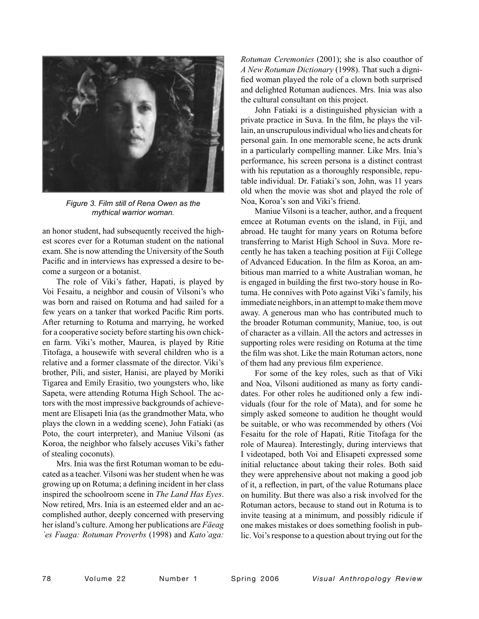

*Figure 3. Film still of Rena Owen as the mythical warrior woman.*

an honor student, had subsequently received the highest scores ever for a Rotuman student on the national exam. She is now attending the University of the South Pacific and in interviews has expressed a desire to become a surgeon or a botanist.

The role of Viki's father, Hapati, is played by Voi Fesaitu, a neighbor and cousin of Vilsoni's who was born and raised on Rotuma and had sailed for a few years on a tanker that worked Pacific Rim ports. After returning to Rotuma and marrying, he worked for a cooperative society before starting his own chicken farm. Viki's mother, Maurea, is played by Ritie Titofaga, a housewife with several children who is a relative and a former classmate of the director. Viki's brother, Pili, and sister, Hanisi, are played by Moriki Tigarea and Emily Erasitio, two youngsters who, like Sapeta, were attending Rotuma High School. The actors with the most impressive backgrounds of achievement are Elisapeti Inia (as the grandmother Mata, who plays the clown in a wedding scene), John Fatiaki (as Poto, the court interpreter), and Maniue Vilsoni (as Koroa, the neighbor who falsely accuses Viki's father of stealing coconuts).

Mrs. Inia was the first Rotuman woman to be educated as a teacher. Vilsoni was her student when he was growing up on Rotuma; a defining incident in her class inspired the schoolroom scene in *The Land Has Eyes*. Now retired, Mrs. Inia is an esteemed elder and an accomplished author, deeply concerned with preserving her island's culture. Among her publications are *Fäeag `es Fuaga: Rotuman Proverbs* (1998) and *Kato`aga:* 

*Rotuman Ceremonies* (2001); she is also coauthor of *A New Rotuman Dictionary* (1998). That such a dignified woman played the role of a clown both surprised and delighted Rotuman audiences. Mrs. Inia was also the cultural consultant on this project.

John Fatiaki is a distinguished physician with a private practice in Suva. In the film, he plays the villain, an unscrupulous individual who lies and cheats for personal gain. In one memorable scene, he acts drunk in a particularly compelling manner. Like Mrs. Inia's performance, his screen persona is a distinct contrast with his reputation as a thoroughly responsible, reputable individual. Dr. Fatiaki's son, John, was 11 years old when the movie was shot and played the role of Noa, Koroa's son and Viki's friend.

Maniue Vilsoni is a teacher, author, and a frequent emcee at Rotuman events on the island, in Fiji, and abroad. He taught for many years on Rotuma before transferring to Marist High School in Suva. More recently he has taken a teaching position at Fiji College of Advanced Education. In the film as Koroa, an ambitious man married to a white Australian woman, he is engaged in building the first two-story house in Rotuma. He connives with Poto against Viki's family, his immediate neighbors, in an attempt to make them move away. A generous man who has contributed much to the broader Rotuman community, Maniue, too, is out of character as a villain. All the actors and actresses in supporting roles were residing on Rotuma at the time the film was shot. Like the main Rotuman actors, none of them had any previous film experience.

For some of the key roles, such as that of Viki and Noa, Vilsoni auditioned as many as forty candidates. For other roles he auditioned only a few individuals (four for the role of Mata), and for some he simply asked someone to audition he thought would be suitable, or who was recommended by others (Voi Fesaitu for the role of Hapati, Ritie Titofaga for the role of Maurea). Interestingly, during interviews that I videotaped, both Voi and Elisapeti expressed some initial reluctance about taking their roles. Both said they were apprehensive about not making a good job of it, a reflection, in part, of the value Rotumans place on humility. But there was also a risk involved for the Rotuman actors, because to stand out in Rotuma is to invite teasing at a minimum, and possibly ridicule if one makes mistakes or does something foolish in public. Voi's response to a question about trying out for the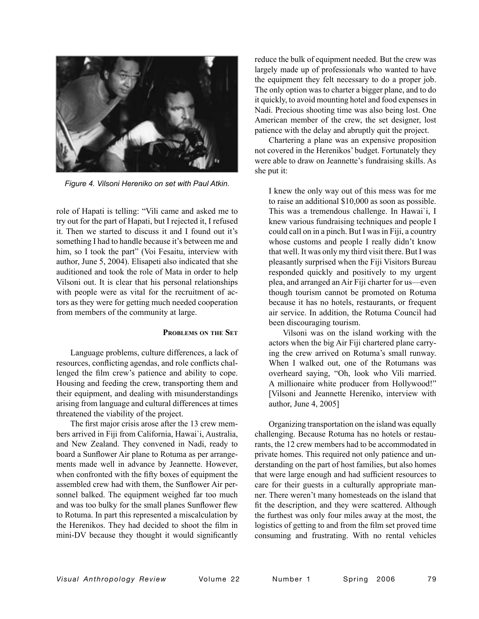

*Figure 4. Vilsoni Hereniko on set with Paul Atkin.*

role of Hapati is telling: "Vili came and asked me to try out for the part of Hapati, but I rejected it, I refused it. Then we started to discuss it and I found out it's something I had to handle because it's between me and him, so I took the part" (Voi Fesaitu, interview with author, June 5, 2004). Elisapeti also indicated that she auditioned and took the role of Mata in order to help Vilsoni out. It is clear that his personal relationships with people were as vital for the recruitment of actors as they were for getting much needed cooperation from members of the community at large.

#### **PROBLEMS ON THE SET**

Language problems, culture differences, a lack of resources, conflicting agendas, and role conflicts challenged the film crew's patience and ability to cope. Housing and feeding the crew, transporting them and their equipment, and dealing with misunderstandings arising from language and cultural differences at times threatened the viability of the project.

The first major crisis arose after the 13 crew members arrived in Fiji from California, Hawai`i, Australia, and New Zealand. They convened in Nadi, ready to board a Sunflower Air plane to Rotuma as per arrangements made well in advance by Jeannette. However, when confronted with the fifty boxes of equipment the assembled crew had with them, the Sunflower Air personnel balked. The equipment weighed far too much and was too bulky for the small planes Sunflower flew to Rotuma. In part this represented a miscalculation by the Herenikos. They had decided to shoot the film in mini-DV because they thought it would significantly

reduce the bulk of equipment needed. But the crew was largely made up of professionals who wanted to have the equipment they felt necessary to do a proper job. The only option was to charter a bigger plane, and to do it quickly, to avoid mounting hotel and food expenses in Nadi. Precious shooting time was also being lost. One American member of the crew, the set designer, lost patience with the delay and abruptly quit the project.

Chartering a plane was an expensive proposition not covered in the Herenikos' budget. Fortunately they were able to draw on Jeannette's fundraising skills. As she put it:

I knew the only way out of this mess was for me to raise an additional \$10,000 as soon as possible. This was a tremendous challenge. In Hawai`i, I knew various fundraising techniques and people I could call on in a pinch. But I was in Fiji, a country whose customs and people I really didn't know that well. It was only my third visit there. But I was pleasantly surprised when the Fiji Visitors Bureau responded quickly and positively to my urgent plea, and arranged an Air Fiji charter for us—even though tourism cannot be promoted on Rotuma because it has no hotels, restaurants, or frequent air service. In addition, the Rotuma Council had been discouraging tourism.

 Vilsoni was on the island working with the actors when the big Air Fiji chartered plane carrying the crew arrived on Rotuma's small runway. When I walked out, one of the Rotumans was overheard saying, "Oh, look who Vili married. A millionaire white producer from Hollywood!" [Vilsoni and Jeannette Hereniko, interview with author, June 4, 2005]

Organizing transportation on the island was equally challenging. Because Rotuma has no hotels or restaurants, the 12 crew members had to be accommodated in private homes. This required not only patience and understanding on the part of host families, but also homes that were large enough and had sufficient resources to care for their guests in a culturally appropriate manner. There weren't many homesteads on the island that fit the description, and they were scattered. Although the furthest was only four miles away at the most, the logistics of getting to and from the film set proved time consuming and frustrating. With no rental vehicles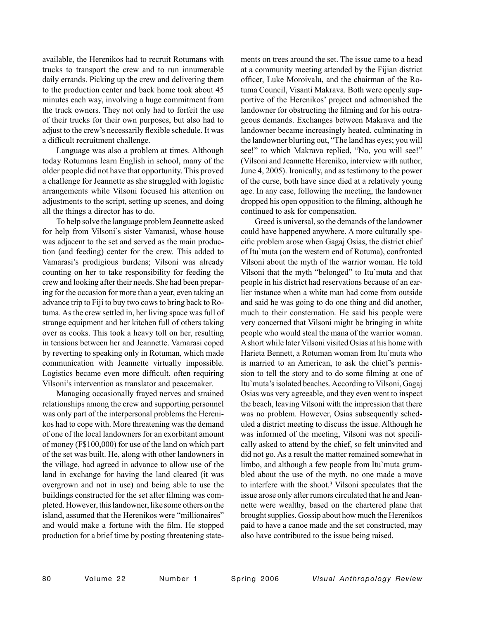available, the Herenikos had to recruit Rotumans with trucks to transport the crew and to run innumerable daily errands. Picking up the crew and delivering them to the production center and back home took about 45 minutes each way, involving a huge commitment from the truck owners. They not only had to forfeit the use of their trucks for their own purposes, but also had to adjust to the crew's necessarily flexible schedule. It was a difficult recruitment challenge.

Language was also a problem at times. Although today Rotumans learn English in school, many of the older people did not have that opportunity. This proved a challenge for Jeannette as she struggled with logistic arrangements while Vilsoni focused his attention on adjustments to the script, setting up scenes, and doing all the things a director has to do.

To help solve the language problem Jeannette asked for help from Vilsoni's sister Vamarasi, whose house was adjacent to the set and served as the main production (and feeding) center for the crew. This added to Vamarasi's prodigious burdens; Vilsoni was already counting on her to take responsibility for feeding the crew and looking after their needs. She had been preparing for the occasion for more than a year, even taking an advance trip to Fiji to buy two cows to bring back to Rotuma. As the crew settled in, her living space was full of strange equipment and her kitchen full of others taking over as cooks. This took a heavy toll on her, resulting in tensions between her and Jeannette. Vamarasi coped by reverting to speaking only in Rotuman, which made communication with Jeannette virtually impossible. Logistics became even more difficult, often requiring Vilsoni's intervention as translator and peacemaker.

Managing occasionally frayed nerves and strained relationships among the crew and supporting personnel was only part of the interpersonal problems the Herenikos had to cope with. More threatening was the demand of one of the local landowners for an exorbitant amount of money (F\$100,000) for use of the land on which part of the set was built. He, along with other landowners in the village, had agreed in advance to allow use of the land in exchange for having the land cleared (it was overgrown and not in use) and being able to use the buildings constructed for the set after filming was completed. However, this landowner, like some others on the island, assumed that the Herenikos were "millionaires" and would make a fortune with the film. He stopped production for a brief time by posting threatening statements on trees around the set. The issue came to a head at a community meeting attended by the Fijian district officer, Luke Moroivalu, and the chairman of the Rotuma Council, Visanti Makrava. Both were openly supportive of the Herenikos' project and admonished the landowner for obstructing the filming and for his outrageous demands. Exchanges between Makrava and the landowner became increasingly heated, culminating in the landowner blurting out, "The land has eyes; you will see!" to which Makrava replied, "No, you will see!" (Vilsoni and Jeannette Hereniko, interview with author, June 4, 2005). Ironically, and as testimony to the power of the curse, both have since died at a relatively young age. In any case, following the meeting, the landowner dropped his open opposition to the filming, although he continued to ask for compensation.

Greed is universal, so the demands of the landowner could have happened anywhere. A more culturally specific problem arose when Gagaj Osias, the district chief of Itu`muta (on the western end of Rotuma), confronted Vilsoni about the myth of the warrior woman. He told Vilsoni that the myth "belonged" to Itu`muta and that people in his district had reservations because of an earlier instance when a white man had come from outside and said he was going to do one thing and did another, much to their consternation. He said his people were very concerned that Vilsoni might be bringing in white people who would steal the mana of the warrior woman. A short while later Vilsoni visited Osias at his home with Harieta Bennett, a Rotuman woman from Itu`muta who is married to an American, to ask the chief's permission to tell the story and to do some filming at one of Itu`muta's isolated beaches. According to Vilsoni, Gagaj Osias was very agreeable, and they even went to inspect the beach, leaving Vilsoni with the impression that there was no problem. However, Osias subsequently scheduled a district meeting to discuss the issue. Although he was informed of the meeting, Vilsoni was not specifically asked to attend by the chief, so felt uninvited and did not go. As a result the matter remained somewhat in limbo, and although a few people from Itu`muta grumbled about the use of the myth, no one made a move to interfere with the shoot.3 Vilsoni speculates that the issue arose only after rumors circulated that he and Jeannette were wealthy, based on the chartered plane that brought supplies. Gossip about how much the Herenikos paid to have a canoe made and the set constructed, may also have contributed to the issue being raised.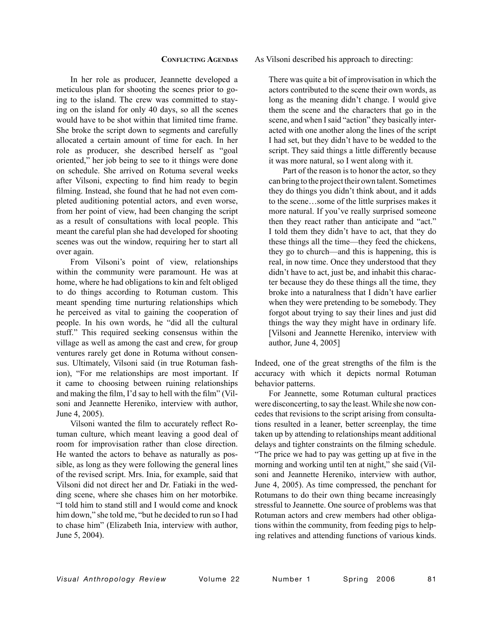# **CONFLICTING AGENDAS**

In her role as producer, Jeannette developed a meticulous plan for shooting the scenes prior to going to the island. The crew was committed to staying on the island for only 40 days, so all the scenes would have to be shot within that limited time frame. She broke the script down to segments and carefully allocated a certain amount of time for each. In her role as producer, she described herself as "goal oriented," her job being to see to it things were done on schedule. She arrived on Rotuma several weeks after Vilsoni, expecting to find him ready to begin filming. Instead, she found that he had not even completed auditioning potential actors, and even worse, from her point of view, had been changing the script as a result of consultations with local people. This meant the careful plan she had developed for shooting scenes was out the window, requiring her to start all over again.

From Vilsoni's point of view, relationships within the community were paramount. He was at home, where he had obligations to kin and felt obliged to do things according to Rotuman custom. This meant spending time nurturing relationships which he perceived as vital to gaining the cooperation of people. In his own words, he "did all the cultural stuff." This required seeking consensus within the village as well as among the cast and crew, for group ventures rarely get done in Rotuma without consensus. Ultimately, Vilsoni said (in true Rotuman fashion), "For me relationships are most important. If it came to choosing between ruining relationships and making the film, I'd say to hell with the film" (Vilsoni and Jeannette Hereniko, interview with author, June 4, 2005).

Vilsoni wanted the film to accurately reflect Rotuman culture, which meant leaving a good deal of room for improvisation rather than close direction. He wanted the actors to behave as naturally as possible, as long as they were following the general lines of the revised script. Mrs. Inia, for example, said that Vilsoni did not direct her and Dr. Fatiaki in the wedding scene, where she chases him on her motorbike. "I told him to stand still and I would come and knock him down," she told me, "but he decided to run so I had to chase him" (Elizabeth Inia, interview with author, June 5, 2004).

# As Vilsoni described his approach to directing:

There was quite a bit of improvisation in which the actors contributed to the scene their own words, as long as the meaning didn't change. I would give them the scene and the characters that go in the scene, and when I said "action" they basically interacted with one another along the lines of the script I had set, but they didn't have to be wedded to the script. They said things a little differently because it was more natural, so I went along with it.

 Part of the reason is to honor the actor, so they can bring to the project their own talent. Sometimes they do things you didn't think about, and it adds to the scene…some of the little surprises makes it more natural. If you've really surprised someone then they react rather than anticipate and "act." I told them they didn't have to act, that they do these things all the time—they feed the chickens, they go to church—and this is happening, this is real, in now time. Once they understood that they didn't have to act, just be, and inhabit this character because they do these things all the time, they broke into a naturalness that I didn't have earlier when they were pretending to be somebody. They forgot about trying to say their lines and just did things the way they might have in ordinary life. [Vilsoni and Jeannette Hereniko, interview with author, June 4, 2005]

Indeed, one of the great strengths of the film is the accuracy with which it depicts normal Rotuman behavior patterns.

For Jeannette, some Rotuman cultural practices were disconcerting, to say the least. While she now concedes that revisions to the script arising from consultations resulted in a leaner, better screenplay, the time taken up by attending to relationships meant additional delays and tighter constraints on the filming schedule. "The price we had to pay was getting up at five in the morning and working until ten at night," she said (Vilsoni and Jeannette Hereniko, interview with author, June 4, 2005). As time compressed, the penchant for Rotumans to do their own thing became increasingly stressful to Jeannette. One source of problems was that Rotuman actors and crew members had other obligations within the community, from feeding pigs to helping relatives and attending functions of various kinds.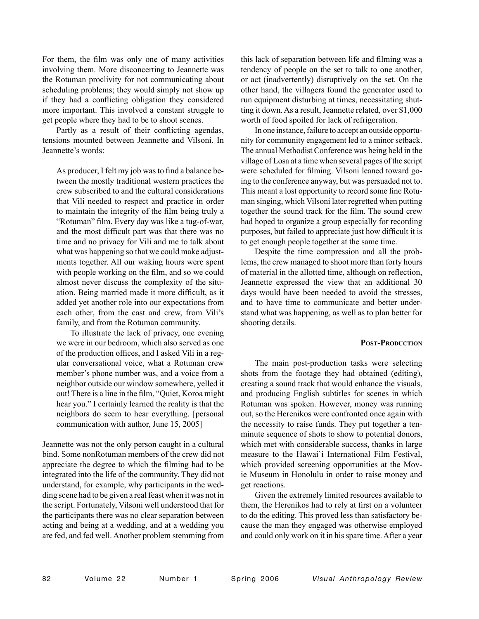For them, the film was only one of many activities involving them. More disconcerting to Jeannette was the Rotuman proclivity for not communicating about scheduling problems; they would simply not show up if they had a conflicting obligation they considered more important. This involved a constant struggle to get people where they had to be to shoot scenes.

Partly as a result of their conflicting agendas, tensions mounted between Jeannette and Vilsoni. In Jeannette's words:

As producer, I felt my job was to find a balance between the mostly traditional western practices the crew subscribed to and the cultural considerations that Vili needed to respect and practice in order to maintain the integrity of the film being truly a "Rotuman" film. Every day was like a tug-of-war, and the most difficult part was that there was no time and no privacy for Vili and me to talk about what was happening so that we could make adjustments together. All our waking hours were spent with people working on the film, and so we could almost never discuss the complexity of the situation. Being married made it more difficult, as it added yet another role into our expectations from each other, from the cast and crew, from Vili's family, and from the Rotuman community.

 To illustrate the lack of privacy, one evening we were in our bedroom, which also served as one of the production offices, and I asked Vili in a regular conversational voice, what a Rotuman crew member's phone number was, and a voice from a neighbor outside our window somewhere, yelled it out! There is a line in the film, "Quiet, Koroa might hear you." I certainly learned the reality is that the neighbors do seem to hear everything. [personal communication with author, June 15, 2005]

Jeannette was not the only person caught in a cultural bind. Some nonRotuman members of the crew did not appreciate the degree to which the filming had to be integrated into the life of the community. They did not understand, for example, why participants in the wedding scene had to be given a real feast when it was not in the script. Fortunately, Vilsoni well understood that for the participants there was no clear separation between acting and being at a wedding, and at a wedding you are fed, and fed well. Another problem stemming from

this lack of separation between life and filming was a tendency of people on the set to talk to one another, or act (inadvertently) disruptively on the set. On the other hand, the villagers found the generator used to run equipment disturbing at times, necessitating shutting it down. As a result, Jeannette related, over \$1,000 worth of food spoiled for lack of refrigeration.

In one instance, failure to accept an outside opportunity for community engagement led to a minor setback. The annual Methodist Conference was being held in the village of Losa at a time when several pages of the script were scheduled for filming. Vilsoni leaned toward going to the conference anyway, but was persuaded not to. This meant a lost opportunity to record some fine Rotuman singing, which Vilsoni later regretted when putting together the sound track for the film. The sound crew had hoped to organize a group especially for recording purposes, but failed to appreciate just how difficult it is to get enough people together at the same time.

Despite the time compression and all the problems, the crew managed to shoot more than forty hours of material in the allotted time, although on reflection, Jeannette expressed the view that an additional 30 days would have been needed to avoid the stresses, and to have time to communicate and better understand what was happening, as well as to plan better for shooting details.

# **POST-PRODUCTION**

The main post-production tasks were selecting shots from the footage they had obtained (editing), creating a sound track that would enhance the visuals, and producing English subtitles for scenes in which Rotuman was spoken. However, money was running out, so the Herenikos were confronted once again with the necessity to raise funds. They put together a tenminute sequence of shots to show to potential donors, which met with considerable success, thanks in large measure to the Hawai`i International Film Festival, which provided screening opportunities at the Movie Museum in Honolulu in order to raise money and get reactions.

Given the extremely limited resources available to them, the Herenikos had to rely at first on a volunteer to do the editing. This proved less than satisfactory because the man they engaged was otherwise employed and could only work on it in his spare time. After a year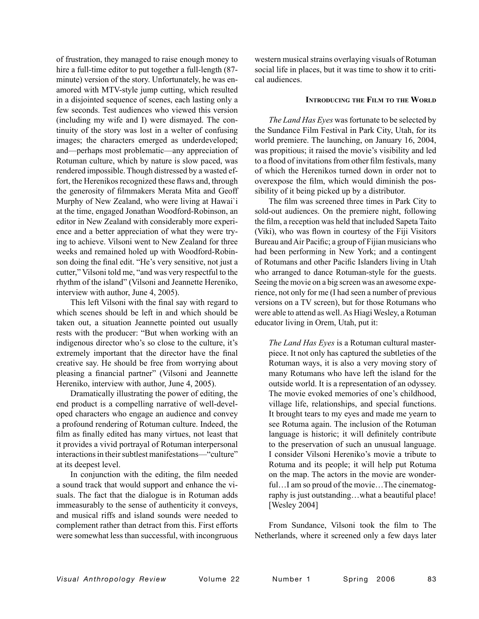of frustration, they managed to raise enough money to hire a full-time editor to put together a full-length (87 minute) version of the story. Unfortunately, he was enamored with MTV-style jump cutting, which resulted in a disjointed sequence of scenes, each lasting only a few seconds. Test audiences who viewed this version (including my wife and I) were dismayed. The continuity of the story was lost in a welter of confusing images; the characters emerged as underdeveloped; and—perhaps most problematic—any appreciation of Rotuman culture, which by nature is slow paced, was rendered impossible. Though distressed by a wasted effort, the Herenikos recognized these flaws and, through the generosity of filmmakers Merata Mita and Geoff Murphy of New Zealand, who were living at Hawai`i at the time, engaged Jonathan Woodford-Robinson, an editor in New Zealand with considerably more experience and a better appreciation of what they were trying to achieve. Vilsoni went to New Zealand for three weeks and remained holed up with Woodford-Robinson doing the final edit. "He's very sensitive, not just a cutter," Vilsoni told me, "and was very respectful to the rhythm of the island" (Vilsoni and Jeannette Hereniko, interview with author, June 4, 2005).

This left Vilsoni with the final say with regard to which scenes should be left in and which should be taken out, a situation Jeannette pointed out usually rests with the producer: "But when working with an indigenous director who's so close to the culture, it's extremely important that the director have the final creative say. He should be free from worrying about pleasing a financial partner" (Vilsoni and Jeannette Hereniko, interview with author, June 4, 2005).

Dramatically illustrating the power of editing, the end product is a compelling narrative of well-developed characters who engage an audience and convey a profound rendering of Rotuman culture. Indeed, the film as finally edited has many virtues, not least that it provides a vivid portrayal of Rotuman interpersonal interactions in their subtlest manifestations—"culture" at its deepest level.

In conjunction with the editing, the film needed a sound track that would support and enhance the visuals. The fact that the dialogue is in Rotuman adds immeasurably to the sense of authenticity it conveys, and musical riffs and island sounds were needed to complement rather than detract from this. First efforts were somewhat less than successful, with incongruous

western musical strains overlaying visuals of Rotuman social life in places, but it was time to show it to critical audiences.

#### **INTRODUCING THE FILM TO THE WORLD**

*The Land Has Eyes* was fortunate to be selected by the Sundance Film Festival in Park City, Utah, for its world premiere. The launching, on January 16, 2004, was propitious; it raised the movie's visibility and led to a flood of invitations from other film festivals, many of which the Herenikos turned down in order not to overexpose the film, which would diminish the possibility of it being picked up by a distributor.

The film was screened three times in Park City to sold-out audiences. On the premiere night, following the film, a reception was held that included Sapeta Taito (Viki), who was flown in courtesy of the Fiji Visitors Bureau and Air Pacific; a group of Fijian musicians who had been performing in New York; and a contingent of Rotumans and other Pacific Islanders living in Utah who arranged to dance Rotuman-style for the guests. Seeing the movie on a big screen was an awesome experience, not only for me (I had seen a number of previous versions on a TV screen), but for those Rotumans who were able to attend as well. As Hiagi Wesley, a Rotuman educator living in Orem, Utah, put it:

*The Land Has Eyes* is a Rotuman cultural masterpiece. It not only has captured the subtleties of the Rotuman ways, it is also a very moving story of many Rotumans who have left the island for the outside world. It is a representation of an odyssey. The movie evoked memories of one's childhood, village life, relationships, and special functions. It brought tears to my eyes and made me yearn to see Rotuma again. The inclusion of the Rotuman language is historic; it will definitely contribute to the preservation of such an unusual language. I consider Vilsoni Hereniko's movie a tribute to Rotuma and its people; it will help put Rotuma on the map. The actors in the movie are wonderful...I am so proud of the movie...The cinematography is just outstanding…what a beautiful place! [Wesley 2004]

From Sundance, Vilsoni took the film to The Netherlands, where it screened only a few days later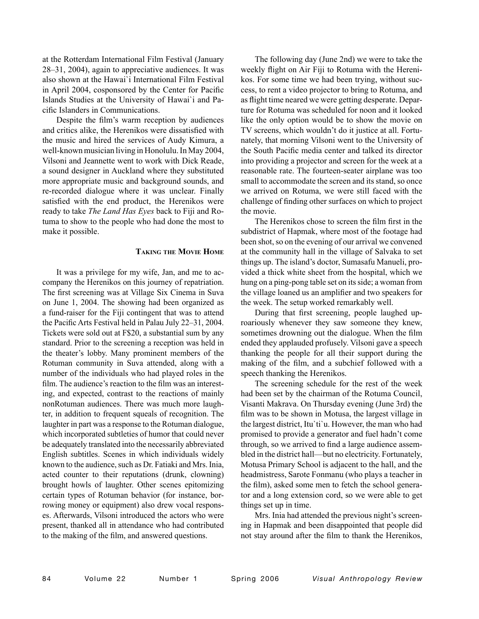at the Rotterdam International Film Festival (January 28–31, 2004), again to appreciative audiences. It was also shown at the Hawai`i International Film Festival in April 2004, cosponsored by the Center for Pacific Islands Studies at the University of Hawai`i and Pacific Islanders in Communications.

Despite the film's warm reception by audiences and critics alike, the Herenikos were dissatisfied with the music and hired the services of Audy Kimura, a well-known musician living in Honolulu. In May 2004, Vilsoni and Jeannette went to work with Dick Reade, a sound designer in Auckland where they substituted more appropriate music and background sounds, and re-recorded dialogue where it was unclear. Finally satisfied with the end product, the Herenikos were ready to take *The Land Has Eyes* back to Fiji and Rotuma to show to the people who had done the most to make it possible.

# **TAKING THE MOVIE HOME**

It was a privilege for my wife, Jan, and me to accompany the Herenikos on this journey of repatriation. The first screening was at Village Six Cinema in Suva on June 1, 2004. The showing had been organized as a fund-raiser for the Fiji contingent that was to attend the Pacific Arts Festival held in Palau July 22–31, 2004. Tickets were sold out at F\$20, a substantial sum by any standard. Prior to the screening a reception was held in the theater's lobby. Many prominent members of the Rotuman community in Suva attended, along with a number of the individuals who had played roles in the film. The audience's reaction to the film was an interesting, and expected, contrast to the reactions of mainly nonRotuman audiences. There was much more laughter, in addition to frequent squeals of recognition. The laughter in part was a response to the Rotuman dialogue, which incorporated subtleties of humor that could never be adequately translated into the necessarily abbreviated English subtitles. Scenes in which individuals widely known to the audience, such as Dr. Fatiaki and Mrs. Inia, acted counter to their reputations (drunk, clowning) brought howls of laughter. Other scenes epitomizing certain types of Rotuman behavior (for instance, borrowing money or equipment) also drew vocal responses. Afterwards, Vilsoni introduced the actors who were present, thanked all in attendance who had contributed to the making of the film, and answered questions.

The following day (June 2nd) we were to take the weekly flight on Air Fiji to Rotuma with the Herenikos. For some time we had been trying, without success, to rent a video projector to bring to Rotuma, and as flight time neared we were getting desperate. Departure for Rotuma was scheduled for noon and it looked like the only option would be to show the movie on TV screens, which wouldn't do it justice at all. Fortunately, that morning Vilsoni went to the University of the South Pacific media center and talked its director into providing a projector and screen for the week at a reasonable rate. The fourteen-seater airplane was too small to accommodate the screen and its stand, so once we arrived on Rotuma, we were still faced with the challenge of finding other surfaces on which to project the movie.

The Herenikos chose to screen the film first in the subdistrict of Hapmak, where most of the footage had been shot, so on the evening of our arrival we convened at the community hall in the village of Salvaka to set things up. The island's doctor, Sumasafu Manueli, provided a thick white sheet from the hospital, which we hung on a ping-pong table set on its side; a woman from the village loaned us an amplifier and two speakers for the week. The setup worked remarkably well.

During that first screening, people laughed uproariously whenever they saw someone they knew, sometimes drowning out the dialogue. When the film ended they applauded profusely. Vilsoni gave a speech thanking the people for all their support during the making of the film, and a subchief followed with a speech thanking the Herenikos.

The screening schedule for the rest of the week had been set by the chairman of the Rotuma Council, Visanti Makrava. On Thursday evening (June 3rd) the film was to be shown in Motusa, the largest village in the largest district, Itu`ti`u. However, the man who had promised to provide a generator and fuel hadn't come through, so we arrived to find a large audience assembled in the district hall—but no electricity. Fortunately, Motusa Primary School is adjacent to the hall, and the headmistress, Sarote Fonmanu (who plays a teacher in the film), asked some men to fetch the school generator and a long extension cord, so we were able to get things set up in time.

Mrs. Inia had attended the previous night's screening in Hapmak and been disappointed that people did not stay around after the film to thank the Herenikos,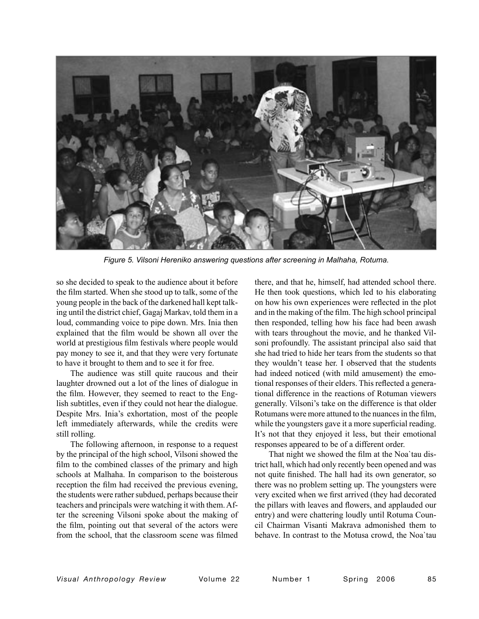

*Figure 5. Vilsoni Hereniko answering questions after screening in Malhaha, Rotuma.*

so she decided to speak to the audience about it before the film started. When she stood up to talk, some of the young people in the back of the darkened hall kept talking until the district chief, Gagaj Markav, told them in a loud, commanding voice to pipe down. Mrs. Inia then explained that the film would be shown all over the world at prestigious film festivals where people would pay money to see it, and that they were very fortunate to have it brought to them and to see it for free.

The audience was still quite raucous and their laughter drowned out a lot of the lines of dialogue in the film. However, they seemed to react to the English subtitles, even if they could not hear the dialogue. Despite Mrs. Inia's exhortation, most of the people left immediately afterwards, while the credits were still rolling.

The following afternoon, in response to a request by the principal of the high school, Vilsoni showed the film to the combined classes of the primary and high schools at Malhaha. In comparison to the boisterous reception the film had received the previous evening, the students were rather subdued, perhaps because their teachers and principals were watching it with them. After the screening Vilsoni spoke about the making of the film, pointing out that several of the actors were from the school, that the classroom scene was filmed

there, and that he, himself, had attended school there. He then took questions, which led to his elaborating on how his own experiences were reflected in the plot and in the making of the film. The high school principal then responded, telling how his face had been awash with tears throughout the movie, and he thanked Vilsoni profoundly. The assistant principal also said that she had tried to hide her tears from the students so that they wouldn't tease her. I observed that the students had indeed noticed (with mild amusement) the emotional responses of their elders. This reflected a generational difference in the reactions of Rotuman viewers generally. Vilsoni's take on the difference is that older Rotumans were more attuned to the nuances in the film, while the youngsters gave it a more superficial reading. It's not that they enjoyed it less, but their emotional responses appeared to be of a different order.

That night we showed the film at the Noa`tau district hall, which had only recently been opened and was not quite finished. The hall had its own generator, so there was no problem setting up. The youngsters were very excited when we first arrived (they had decorated the pillars with leaves and flowers, and applauded our entry) and were chattering loudly until Rotuma Council Chairman Visanti Makrava admonished them to behave. In contrast to the Motusa crowd, the Noa`tau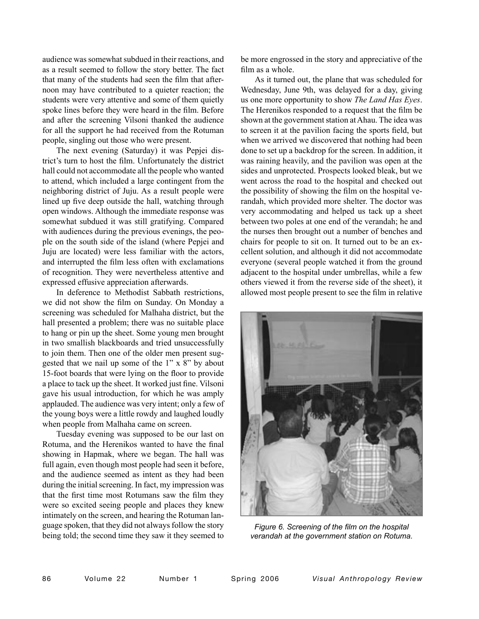audience was somewhat subdued in their reactions, and as a result seemed to follow the story better. The fact that many of the students had seen the film that afternoon may have contributed to a quieter reaction; the students were very attentive and some of them quietly spoke lines before they were heard in the film. Before and after the screening Vilsoni thanked the audience for all the support he had received from the Rotuman people, singling out those who were present.

The next evening (Saturday) it was Pepjei district's turn to host the film. Unfortunately the district hall could not accommodate all the people who wanted to attend, which included a large contingent from the neighboring district of Juju. As a result people were lined up five deep outside the hall, watching through open windows. Although the immediate response was somewhat subdued it was still gratifying. Compared with audiences during the previous evenings, the people on the south side of the island (where Pepjei and Juju are located) were less familiar with the actors, and interrupted the film less often with exclamations of recognition. They were nevertheless attentive and expressed effusive appreciation afterwards.

In deference to Methodist Sabbath restrictions, we did not show the film on Sunday. On Monday a screening was scheduled for Malhaha district, but the hall presented a problem; there was no suitable place to hang or pin up the sheet. Some young men brought in two smallish blackboards and tried unsuccessfully to join them. Then one of the older men present suggested that we nail up some of the 1" x 8" by about 15-foot boards that were lying on the floor to provide a place to tack up the sheet. It worked just fine. Vilsoni gave his usual introduction, for which he was amply applauded. The audience was very intent; only a few of the young boys were a little rowdy and laughed loudly when people from Malhaha came on screen.

Tuesday evening was supposed to be our last on Rotuma, and the Herenikos wanted to have the final showing in Hapmak, where we began. The hall was full again, even though most people had seen it before, and the audience seemed as intent as they had been during the initial screening. In fact, my impression was that the first time most Rotumans saw the film they were so excited seeing people and places they knew intimately on the screen, and hearing the Rotuman language spoken, that they did not always follow the story being told; the second time they saw it they seemed to

be more engrossed in the story and appreciative of the film as a whole.

As it turned out, the plane that was scheduled for Wednesday, June 9th, was delayed for a day, giving us one more opportunity to show *The Land Has Eyes*. The Herenikos responded to a request that the film be shown at the government station at Ahau. The idea was to screen it at the pavilion facing the sports field, but when we arrived we discovered that nothing had been done to set up a backdrop for the screen. In addition, it was raining heavily, and the pavilion was open at the sides and unprotected. Prospects looked bleak, but we went across the road to the hospital and checked out the possibility of showing the film on the hospital verandah, which provided more shelter. The doctor was very accommodating and helped us tack up a sheet between two poles at one end of the verandah; he and the nurses then brought out a number of benches and chairs for people to sit on. It turned out to be an excellent solution, and although it did not accommodate everyone (several people watched it from the ground adjacent to the hospital under umbrellas, while a few others viewed it from the reverse side of the sheet), it allowed most people present to see the film in relative



*Figure 6. Screening of the film on the hospital verandah at the government station on Rotuma.*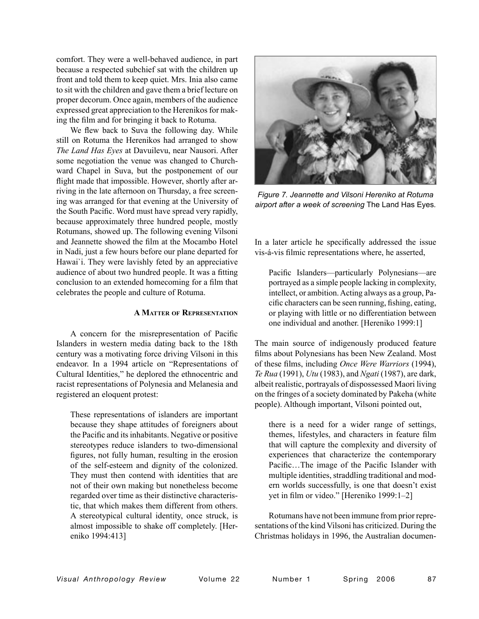comfort. They were a well-behaved audience, in part because a respected subchief sat with the children up front and told them to keep quiet. Mrs. Inia also came to sit with the children and gave them a brief lecture on proper decorum. Once again, members of the audience expressed great appreciation to the Herenikos for making the film and for bringing it back to Rotuma.

We flew back to Suva the following day. While still on Rotuma the Herenikos had arranged to show *The Land Has Eyes* at Davuilevu, near Nausori. After some negotiation the venue was changed to Churchward Chapel in Suva, but the postponement of our flight made that impossible. However, shortly after arriving in the late afternoon on Thursday, a free screening was arranged for that evening at the University of the South Pacific. Word must have spread very rapidly, because approximately three hundred people, mostly Rotumans, showed up. The following evening Vilsoni and Jeannette showed the film at the Mocambo Hotel in Nadi, just a few hours before our plane departed for Hawai`i. They were lavishly feted by an appreciative audience of about two hundred people. It was a fitting conclusion to an extended homecoming for a film that celebrates the people and culture of Rotuma.

# **A MATTER OF REPRESENTATION**

A concern for the misrepresentation of Pacific Islanders in western media dating back to the 18th century was a motivating force driving Vilsoni in this endeavor. In a 1994 article on "Representations of Cultural Identities," he deplored the ethnocentric and racist representations of Polynesia and Melanesia and registered an eloquent protest:

These representations of islanders are important because they shape attitudes of foreigners about the Pacific and its inhabitants. Negative or positive stereotypes reduce islanders to two-dimensional figures, not fully human, resulting in the erosion of the self-esteem and dignity of the colonized. They must then contend with identities that are not of their own making but nonetheless become regarded over time as their distinctive characteristic, that which makes them different from others. A stereotypical cultural identity, once struck, is almost impossible to shake off completely. [Hereniko 1994:413]



*Figure 7. Jeannette and Vilsoni Hereniko at Rotuma airport after a week of screening* The Land Has Eyes*.*

In a later article he specifically addressed the issue vis-á-vis filmic representations where, he asserted,

Pacific Islanders—particularly Polynesians—are portrayed as a simple people lacking in complexity, intellect, or ambition. Acting always as a group, Pacific characters can be seen running, fishing, eating, or playing with little or no differentiation between one individual and another. [Hereniko 1999:1]

The main source of indigenously produced feature films about Polynesians has been New Zealand. Most of these films, including *Once Were Warriors* (1994), *Te Rua* (1991), *Utu* (1983), and *Ngati* (1987), are dark, albeit realistic, portrayals of dispossessed Maori living on the fringes of a society dominated by Pakeha (white people). Although important, Vilsoni pointed out,

there is a need for a wider range of settings, themes, lifestyles, and characters in feature film that will capture the complexity and diversity of experiences that characterize the contemporary Pacific…The image of the Pacific Islander with multiple identities, straddling traditional and modern worlds successfully, is one that doesn't exist yet in film or video." [Hereniko 1999:1–2]

Rotumans have not been immune from prior representations of the kind Vilsoni has criticized. During the Christmas holidays in 1996, the Australian documen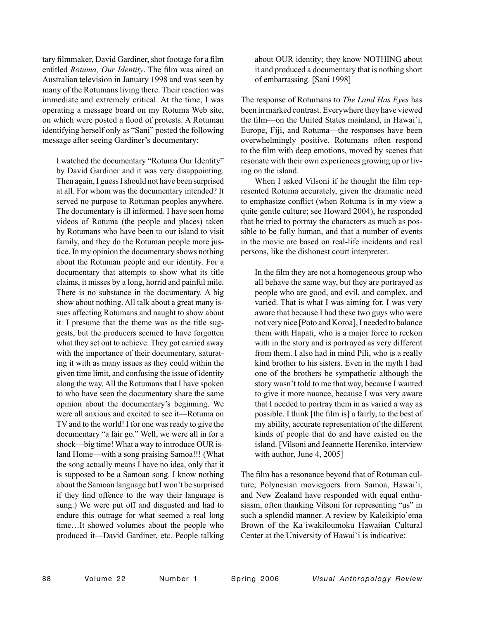tary filmmaker, David Gardiner, shot footage for a film entitled *Rotuma, Our Identity*. The film was aired on Australian television in January 1998 and was seen by many of the Rotumans living there. Their reaction was immediate and extremely critical. At the time, I was operating a message board on my Rotuma Web site, on which were posted a flood of protests. A Rotuman identifying herself only as "Sani" posted the following message after seeing Gardiner's documentary:

I watched the documentary "Rotuma Our Identity" by David Gardiner and it was very disappointing. Then again, I guess I should not have been surprised at all. For whom was the documentary intended? It served no purpose to Rotuman peoples anywhere. The documentary is ill informed. I have seen home videos of Rotuma (the people and places) taken by Rotumans who have been to our island to visit family, and they do the Rotuman people more justice. In my opinion the documentary shows nothing about the Rotuman people and our identity. For a documentary that attempts to show what its title claims, it misses by a long, horrid and painful mile. There is no substance in the documentary. A big show about nothing. All talk about a great many issues affecting Rotumans and naught to show about it. I presume that the theme was as the title suggests, but the producers seemed to have forgotten what they set out to achieve. They got carried away with the importance of their documentary, saturating it with as many issues as they could within the given time limit, and confusing the issue of identity along the way. All the Rotumans that I have spoken to who have seen the documentary share the same opinion about the documentary's beginning. We were all anxious and excited to see it—Rotuma on TV and to the world! I for one was ready to give the documentary "a fair go." Well, we were all in for a shock—big time! What a way to introduce OUR island Home—with a song praising Samoa!!! (What the song actually means I have no idea, only that it is supposed to be a Samoan song. I know nothing about the Samoan language but I won't be surprised if they find offence to the way their language is sung.) We were put off and disgusted and had to endure this outrage for what seemed a real long time…It showed volumes about the people who produced it—David Gardiner, etc. People talking

about OUR identity; they know NOTHING about it and produced a documentary that is nothing short of embarrassing. [Sani 1998]

The response of Rotumans to *The Land Has Eyes* has been in marked contrast. Everywhere they have viewed the film—on the United States mainland, in Hawai`i, Europe, Fiji, and Rotuma—the responses have been overwhelmingly positive. Rotumans often respond to the film with deep emotions, moved by scenes that resonate with their own experiences growing up or living on the island.

When I asked Vilsoni if he thought the film represented Rotuma accurately, given the dramatic need to emphasize conflict (when Rotuma is in my view a quite gentle culture; see Howard 2004), he responded that he tried to portray the characters as much as possible to be fully human, and that a number of events in the movie are based on real-life incidents and real persons, like the dishonest court interpreter.

In the film they are not a homogeneous group who all behave the same way, but they are portrayed as people who are good, and evil, and complex, and varied. That is what I was aiming for. I was very aware that because I had these two guys who were not very nice [Poto and Koroa], I needed to balance them with Hapati, who is a major force to reckon with in the story and is portrayed as very different from them. I also had in mind Pili, who is a really kind brother to his sisters. Even in the myth I had one of the brothers be sympathetic although the story wasn't told to me that way, because I wanted to give it more nuance, because I was very aware that I needed to portray them in as varied a way as possible. I think [the film is] a fairly, to the best of my ability, accurate representation of the different kinds of people that do and have existed on the island. [Vilsoni and Jeannette Hereniko, interview with author, June 4, 2005]

The film has a resonance beyond that of Rotuman culture; Polynesian moviegoers from Samoa, Hawai`i, and New Zealand have responded with equal enthusiasm, often thanking Vilsoni for representing "us" in such a splendid manner. A review by Kaleikipio`ema Brown of the Ka`iwakiloumoku Hawaiian Cultural Center at the University of Hawai`i is indicative: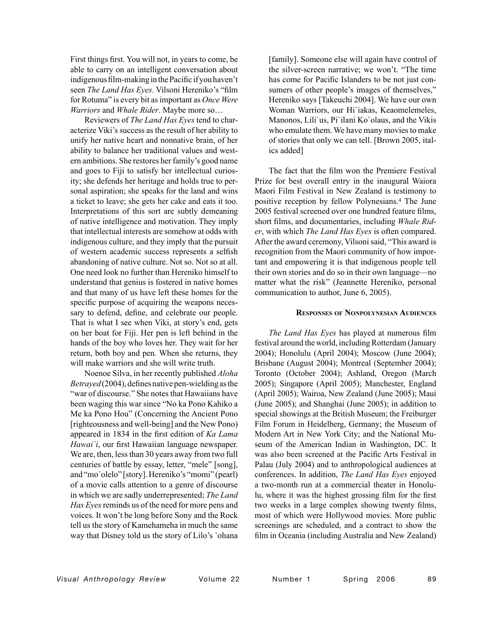First things first. You will not, in years to come, be able to carry on an intelligent conversation about indigenous film-making in the Pacific if you haven't seen *The Land Has Eyes*. Vilsoni Hereniko's "film for Rotuma" is every bit as important as *Once Were Warriors* and *Whale Rider*. Maybe more so…

 Reviewers of *The Land Has Eyes* tend to characterize Viki's success as the result of her ability to unify her native heart and nonnative brain, of her ability to balance her traditional values and western ambitions. She restores her family's good name and goes to Fiji to satisfy her intellectual curiosity; she defends her heritage and holds true to personal aspiration; she speaks for the land and wins a ticket to leave; she gets her cake and eats it too. Interpretations of this sort are subtly demeaning of native intelligence and motivation. They imply that intellectual interests are somehow at odds with indigenous culture, and they imply that the pursuit of western academic success represents a selfish abandoning of native culture. Not so. Not so at all. One need look no further than Hereniko himself to understand that genius is fostered in native homes and that many of us have left these homes for the specific purpose of acquiring the weapons necessary to defend, define, and celebrate our people. That is what I see when Viki, at story's end, gets on her boat for Fiji. Her pen is left behind in the hands of the boy who loves her. They wait for her return, both boy and pen. When she returns, they will make warriors and she will write truth.

 Noenoe Silva, in her recently published *Aloha Betrayed* (2004), defines native pen-wielding as the "war of discourse." She notes that Hawaiians have been waging this war since "No ka Pono Kahiko a Me ka Pono Hou" (Concerning the Ancient Pono [righteousness and well-being] and the New Pono) appeared in 1834 in the first edition of *Ka Lama Hawai`i*, our first Hawaiian language newspaper. We are, then, less than 30 years away from two full centuries of battle by essay, letter, "mele" [song], and "mo`olelo" [story]. Hereniko's "momi" (pearl) of a movie calls attention to a genre of discourse in which we are sadly underrepresented; *The Land Has Eyes* reminds us of the need for more pens and voices. It won't be long before Sony and the Rock tell us the story of Kamehameha in much the same way that Disney told us the story of Lilo's `ohana [family]. Someone else will again have control of the silver-screen narrative; we won't. "The time has come for Pacific Islanders to be not just consumers of other people's images of themselves," Hereniko says [Takeuchi 2004]. We have our own Woman Warriors, our Hi`iakas, Keaomelemeles, Manonos, Lili`us, Pi`ilani Ko`olaus, and the Vikis who emulate them. We have many movies to make of stories that only we can tell. [Brown 2005, italics added]

The fact that the film won the Premiere Festival Prize for best overall entry in the inaugural Waiora Maori Film Festival in New Zealand is testimony to positive reception by fellow Polynesians.4 The June 2005 festival screened over one hundred feature films, short films, and documentaries, including *Whale Rider*, with which *The Land Has Eyes* is often compared. After the award ceremony, Vilsoni said, "This award is recognition from the Maori community of how important and empowering it is that indigenous people tell their own stories and do so in their own language—no matter what the risk" (Jeannette Hereniko, personal communication to author, June 6, 2005).

# **RESPONSES OF NONPOLYNESIAN AUDIENCES**

*The Land Has Eyes* has played at numerous film festival around the world, including Rotterdam (January 2004); Honolulu (April 2004); Moscow (June 2004); Brisbane (August 2004); Montreal (September 2004); Toronto (October 2004); Ashland, Oregon (March 2005); Singapore (April 2005); Manchester, England (April 2005); Wairoa, New Zealand (June 2005); Maui (June 2005); and Shanghai (June 2005); in addition to special showings at the British Museum; the Freiburger Film Forum in Heidelberg, Germany; the Museum of Modern Art in New York City; and the National Museum of the American Indian in Washington, DC. It was also been screened at the Pacific Arts Festival in Palau (July 2004) and to anthropological audiences at conferences. In addition, *The Land Has Eyes* enjoyed a two-month run at a commercial theater in Honolulu, where it was the highest grossing film for the first two weeks in a large complex showing twenty films, most of which were Hollywood movies. More public screenings are scheduled, and a contract to show the film in Oceania (including Australia and New Zealand)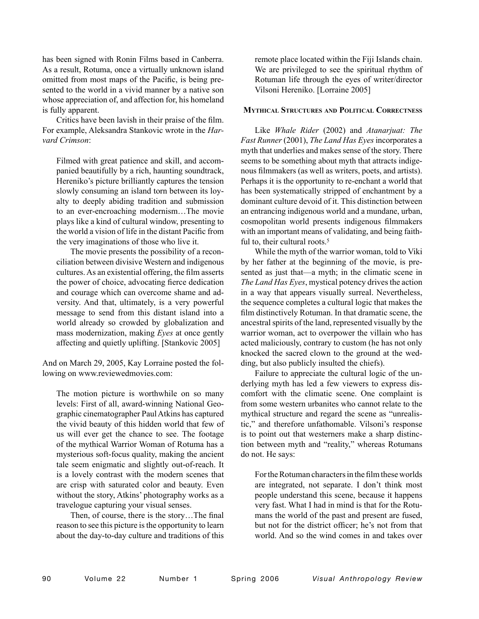has been signed with Ronin Films based in Canberra. As a result, Rotuma, once a virtually unknown island omitted from most maps of the Pacific, is being presented to the world in a vivid manner by a native son whose appreciation of, and affection for, his homeland is fully apparent.

Critics have been lavish in their praise of the film. For example, Aleksandra Stankovic wrote in the *Harvard Crimson*:

Filmed with great patience and skill, and accompanied beautifully by a rich, haunting soundtrack, Hereniko's picture brilliantly captures the tension slowly consuming an island torn between its loyalty to deeply abiding tradition and submission to an ever-encroaching modernism…The movie plays like a kind of cultural window, presenting to the world a vision of life in the distant Pacific from the very imaginations of those who live it.

 The movie presents the possibility of a reconciliation between divisive Western and indigenous cultures. As an existential offering, the film asserts the power of choice, advocating fierce dedication and courage which can overcome shame and adversity. And that, ultimately, is a very powerful message to send from this distant island into a world already so crowded by globalization and mass modernization, making *Eyes* at once gently affecting and quietly uplifting. [Stankovic 2005]

And on March 29, 2005, Kay Lorraine posted the following on www.reviewedmovies.com:

The motion picture is worthwhile on so many levels: First of all, award-winning National Geographic cinematographer Paul Atkins has captured the vivid beauty of this hidden world that few of us will ever get the chance to see. The footage of the mythical Warrior Woman of Rotuma has a mysterious soft-focus quality, making the ancient tale seem enigmatic and slightly out-of-reach. It is a lovely contrast with the modern scenes that are crisp with saturated color and beauty. Even without the story, Atkins' photography works as a travelogue capturing your visual senses.

 Then, of course, there is the story…The final reason to see this picture is the opportunity to learn about the day-to-day culture and traditions of this remote place located within the Fiji Islands chain. We are privileged to see the spiritual rhythm of Rotuman life through the eyes of writer/director Vilsoni Hereniko. [Lorraine 2005]

# **MYTHICAL STRUCTURES AND POLITICAL CORRECTNESS**

Like *Whale Rider* (2002) and *Atanarjuat: The Fast Runner* (2001), *The Land Has Eyes* incorporates a myth that underlies and makes sense of the story. There seems to be something about myth that attracts indigenous filmmakers (as well as writers, poets, and artists). Perhaps it is the opportunity to re-enchant a world that has been systematically stripped of enchantment by a dominant culture devoid of it. This distinction between an entrancing indigenous world and a mundane, urban, cosmopolitan world presents indigenous filmmakers with an important means of validating, and being faithful to, their cultural roots.<sup>5</sup>

While the myth of the warrior woman, told to Viki by her father at the beginning of the movie, is presented as just that—a myth; in the climatic scene in *The Land Has Eyes*, mystical potency drives the action in a way that appears visually surreal. Nevertheless, the sequence completes a cultural logic that makes the film distinctively Rotuman. In that dramatic scene, the ancestral spirits of the land, represented visually by the warrior woman, act to overpower the villain who has acted maliciously, contrary to custom (he has not only knocked the sacred clown to the ground at the wedding, but also publicly insulted the chiefs).

Failure to appreciate the cultural logic of the underlying myth has led a few viewers to express discomfort with the climatic scene. One complaint is from some western urbanites who cannot relate to the mythical structure and regard the scene as "unrealistic," and therefore unfathomable. Vilsoni's response is to point out that westerners make a sharp distinction between myth and "reality," whereas Rotumans do not. He says:

For the Rotuman characters in the film these worlds are integrated, not separate. I don't think most people understand this scene, because it happens very fast. What I had in mind is that for the Rotumans the world of the past and present are fused, but not for the district officer; he's not from that world. And so the wind comes in and takes over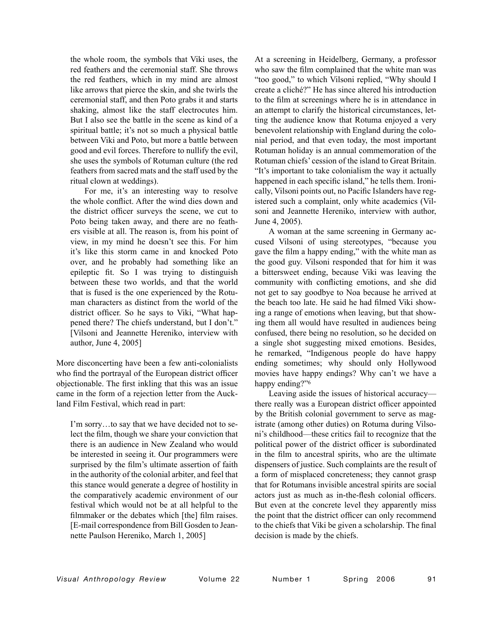the whole room, the symbols that Viki uses, the red feathers and the ceremonial staff. She throws the red feathers, which in my mind are almost like arrows that pierce the skin, and she twirls the ceremonial staff, and then Poto grabs it and starts shaking, almost like the staff electrocutes him. But I also see the battle in the scene as kind of a spiritual battle; it's not so much a physical battle between Viki and Poto, but more a battle between good and evil forces. Therefore to nullify the evil, she uses the symbols of Rotuman culture (the red feathers from sacred mats and the staff used by the ritual clown at weddings).

 For me, it's an interesting way to resolve the whole conflict. After the wind dies down and the district officer surveys the scene, we cut to Poto being taken away, and there are no feathers visible at all. The reason is, from his point of view, in my mind he doesn't see this. For him it's like this storm came in and knocked Poto over, and he probably had something like an epileptic fit. So I was trying to distinguish between these two worlds, and that the world that is fused is the one experienced by the Rotuman characters as distinct from the world of the district officer. So he says to Viki, "What happened there? The chiefs understand, but I don't." [Vilsoni and Jeannette Hereniko, interview with author, June 4, 2005]

More disconcerting have been a few anti-colonialists who find the portrayal of the European district officer objectionable. The first inkling that this was an issue came in the form of a rejection letter from the Auckland Film Festival, which read in part:

I'm sorry…to say that we have decided not to select the film, though we share your conviction that there is an audience in New Zealand who would be interested in seeing it. Our programmers were surprised by the film's ultimate assertion of faith in the authority of the colonial arbiter, and feel that this stance would generate a degree of hostility in the comparatively academic environment of our festival which would not be at all helpful to the filmmaker or the debates which [the] film raises. [E-mail correspondence from Bill Gosden to Jeannette Paulson Hereniko, March 1, 2005]

At a screening in Heidelberg, Germany, a professor who saw the film complained that the white man was "too good," to which Vilsoni replied, "Why should I create a cliché?" He has since altered his introduction to the film at screenings where he is in attendance in an attempt to clarify the historical circumstances, letting the audience know that Rotuma enjoyed a very benevolent relationship with England during the colonial period, and that even today, the most important Rotuman holiday is an annual commemoration of the Rotuman chiefs' cession of the island to Great Britain. "It's important to take colonialism the way it actually happened in each specific island," he tells them. Ironically, Vilsoni points out, no Pacific Islanders have registered such a complaint, only white academics (Vilsoni and Jeannette Hereniko, interview with author, June 4, 2005).

A woman at the same screening in Germany accused Vilsoni of using stereotypes, "because you gave the film a happy ending," with the white man as the good guy. Vilsoni responded that for him it was a bittersweet ending, because Viki was leaving the community with conflicting emotions, and she did not get to say goodbye to Noa because he arrived at the beach too late. He said he had filmed Viki showing a range of emotions when leaving, but that showing them all would have resulted in audiences being confused, there being no resolution, so he decided on a single shot suggesting mixed emotions. Besides, he remarked, "Indigenous people do have happy ending sometimes; why should only Hollywood movies have happy endings? Why can't we have a happy ending?"<sup>6</sup>

Leaving aside the issues of historical accuracy there really was a European district officer appointed by the British colonial government to serve as magistrate (among other duties) on Rotuma during Vilsoni's childhood—these critics fail to recognize that the political power of the district officer is subordinated in the film to ancestral spirits, who are the ultimate dispensers of justice. Such complaints are the result of a form of misplaced concreteness; they cannot grasp that for Rotumans invisible ancestral spirits are social actors just as much as in-the-flesh colonial officers. But even at the concrete level they apparently miss the point that the district officer can only recommend to the chiefs that Viki be given a scholarship. The final decision is made by the chiefs.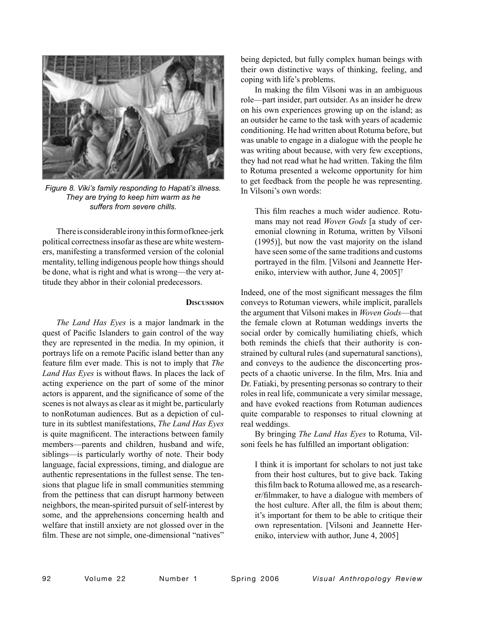

*Figure 8. Viki's family responding to Hapati's illness. They are trying to keep him warm as he suffers from severe chills.*

There is considerable irony in this form of knee-jerk political correctness insofar as these are white westerners, manifesting a transformed version of the colonial mentality, telling indigenous people how things should be done, what is right and what is wrong—the very attitude they abhor in their colonial predecessors.

#### **DISCUSSION**

*The Land Has Eyes* is a major landmark in the quest of Pacific Islanders to gain control of the way they are represented in the media. In my opinion, it portrays life on a remote Pacific island better than any feature film ever made. This is not to imply that *The Land Has Eyes* is without flaws. In places the lack of acting experience on the part of some of the minor actors is apparent, and the significance of some of the scenes is not always as clear as it might be, particularly to nonRotuman audiences. But as a depiction of culture in its subtlest manifestations, *The Land Has Eyes* is quite magnificent. The interactions between family members—parents and children, husband and wife, siblings—is particularly worthy of note. Their body language, facial expressions, timing, and dialogue are authentic representations in the fullest sense. The tensions that plague life in small communities stemming from the pettiness that can disrupt harmony between neighbors, the mean-spirited pursuit of self-interest by some, and the apprehensions concerning health and welfare that instill anxiety are not glossed over in the film. These are not simple, one-dimensional "natives"

being depicted, but fully complex human beings with their own distinctive ways of thinking, feeling, and coping with life's problems.

In making the film Vilsoni was in an ambiguous role—part insider, part outsider. As an insider he drew on his own experiences growing up on the island; as an outsider he came to the task with years of academic conditioning. He had written about Rotuma before, but was unable to engage in a dialogue with the people he was writing about because, with very few exceptions, they had not read what he had written. Taking the film to Rotuma presented a welcome opportunity for him to get feedback from the people he was representing. In Vilsoni's own words:

This film reaches a much wider audience. Rotumans may not read *Woven Gods* [a study of ceremonial clowning in Rotuma, written by Vilsoni (1995)], but now the vast majority on the island have seen some of the same traditions and customs portrayed in the film. [Vilsoni and Jeannette Hereniko, interview with author, June 4, 2005]7

Indeed, one of the most significant messages the film conveys to Rotuman viewers, while implicit, parallels the argument that Vilsoni makes in *Woven Gods*—that the female clown at Rotuman weddings inverts the social order by comically humiliating chiefs, which both reminds the chiefs that their authority is constrained by cultural rules (and supernatural sanctions), and conveys to the audience the disconcerting prospects of a chaotic universe. In the film, Mrs. Inia and Dr. Fatiaki, by presenting personas so contrary to their roles in real life, communicate a very similar message, and have evoked reactions from Rotuman audiences quite comparable to responses to ritual clowning at real weddings.

By bringing *The Land Has Eyes* to Rotuma, Vilsoni feels he has fulfilled an important obligation:

I think it is important for scholars to not just take from their host cultures, but to give back. Taking this film back to Rotuma allowed me, as a researcher/filmmaker, to have a dialogue with members of the host culture. After all, the film is about them; it's important for them to be able to critique their own representation. [Vilsoni and Jeannette Hereniko, interview with author, June 4, 2005]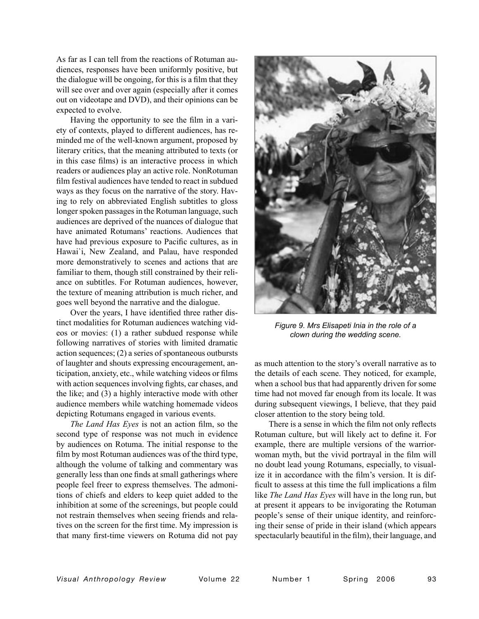As far as I can tell from the reactions of Rotuman audiences, responses have been uniformly positive, but the dialogue will be ongoing, for this is a film that they will see over and over again (especially after it comes out on videotape and DVD), and their opinions can be expected to evolve.

Having the opportunity to see the film in a variety of contexts, played to different audiences, has reminded me of the well-known argument, proposed by literary critics, that the meaning attributed to texts (or in this case films) is an interactive process in which readers or audiences play an active role. NonRotuman film festival audiences have tended to react in subdued ways as they focus on the narrative of the story. Having to rely on abbreviated English subtitles to gloss longer spoken passages in the Rotuman language, such audiences are deprived of the nuances of dialogue that have animated Rotumans' reactions. Audiences that have had previous exposure to Pacific cultures, as in Hawai`i, New Zealand, and Palau, have responded more demonstratively to scenes and actions that are familiar to them, though still constrained by their reliance on subtitles. For Rotuman audiences, however, the texture of meaning attribution is much richer, and goes well beyond the narrative and the dialogue.

Over the years, I have identified three rather distinct modalities for Rotuman audiences watching videos or movies: (1) a rather subdued response while following narratives of stories with limited dramatic action sequences; (2) a series of spontaneous outbursts of laughter and shouts expressing encouragement, anticipation, anxiety, etc., while watching videos or films with action sequences involving fights, car chases, and the like; and (3) a highly interactive mode with other audience members while watching homemade videos depicting Rotumans engaged in various events.

*The Land Has Eyes* is not an action film, so the second type of response was not much in evidence by audiences on Rotuma. The initial response to the film by most Rotuman audiences was of the third type, although the volume of talking and commentary was generally less than one finds at small gatherings where people feel freer to express themselves. The admonitions of chiefs and elders to keep quiet added to the inhibition at some of the screenings, but people could not restrain themselves when seeing friends and relatives on the screen for the first time. My impression is that many first-time viewers on Rotuma did not pay



*Figure 9. Mrs Elisapeti Inia in the role of a clown during the wedding scene.*

as much attention to the story's overall narrative as to the details of each scene. They noticed, for example, when a school bus that had apparently driven for some time had not moved far enough from its locale. It was during subsequent viewings, I believe, that they paid closer attention to the story being told.

There is a sense in which the film not only reflects Rotuman culture, but will likely act to define it. For example, there are multiple versions of the warriorwoman myth, but the vivid portrayal in the film will no doubt lead young Rotumans, especially, to visualize it in accordance with the film's version. It is difficult to assess at this time the full implications a film like *The Land Has Eyes* will have in the long run, but at present it appears to be invigorating the Rotuman people's sense of their unique identity, and reinforcing their sense of pride in their island (which appears spectacularly beautiful in the film), their language, and

*Visual Anthropology Review* Volume 22 Number 1 Spring 2006 93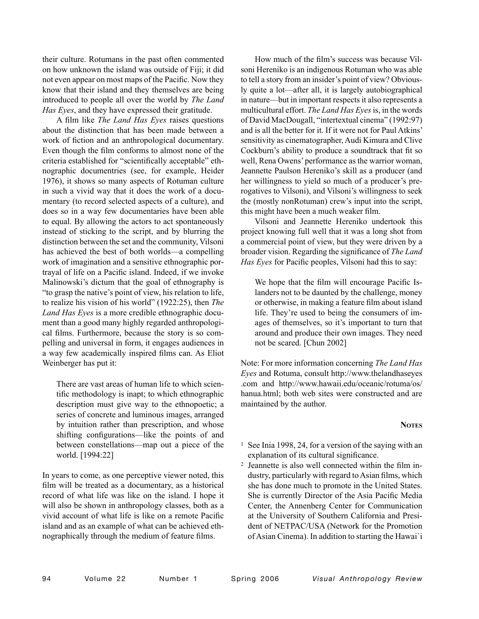their culture. Rotumans in the past often commented on how unknown the island was outside of Fiji; it did not even appear on most maps of the Pacific. Now they know that their island and they themselves are being introduced to people all over the world by *The Land Has Eyes*, and they have expressed their gratitude.

A film like *The Land Has Eyes* raises questions about the distinction that has been made between a work of fiction and an anthropological documentary. Even though the film conforms to almost none of the criteria established for "scientifically acceptable" ethnographic documentries (see, for example, Heider 1976), it shows so many aspects of Rotuman culture in such a vivid way that it does the work of a documentary (to record selected aspects of a culture), and does so in a way few documentaries have been able to equal. By allowing the actors to act spontaneously instead of sticking to the script, and by blurring the distinction between the set and the community, Vilsoni has achieved the best of both worlds—a compelling work of imagination and a sensitive ethnographic portrayal of life on a Pacific island. Indeed, if we invoke Malinowski's dictum that the goal of ethnography is "to grasp the native's point of view, his relation to life, to realize his vision of his world" (1922:25), then *The Land Has Eyes* is a more credible ethnographic document than a good many highly regarded anthropological films. Furthermore, because the story is so compelling and universal in form, it engages audiences in a way few academically inspired films can. As Eliot Weinberger has put it:

There are vast areas of human life to which scientific methodology is inapt; to which ethnographic description must give way to the ethnopoetic; a series of concrete and luminous images, arranged by intuition rather than prescription, and whose shifting configurations—like the points of and between constellations—map out a piece of the world. [1994:22]

In years to come, as one perceptive viewer noted, this film will be treated as a documentary, as a historical record of what life was like on the island. I hope it will also be shown in anthropology classes, both as a vivid account of what life is like on a remote Pacific island and as an example of what can be achieved ethnographically through the medium of feature films.

How much of the film's success was because Vilsoni Hereniko is an indigenous Rotuman who was able to tell a story from an insider's point of view? Obviously quite a lot—after all, it is largely autobiographical in nature—but in important respects it also represents a multicultural effort. *The Land Has Eyes* is, in the words of David MacDougall, "intertextual cinema" (1992:97) and is all the better for it. If it were not for Paul Atkins' sensitivity as cinematographer, Audi Kimura and Clive Cockburn's ability to produce a soundtrack that fit so well, Rena Owens' performance as the warrior woman, Jeannette Paulson Hereniko's skill as a producer (and her willingness to yield so much of a producer's prerogatives to Vilsoni), and Vilsoni's willingness to seek the (mostly nonRotuman) crew's input into the script, this might have been a much weaker film.

Vilsoni and Jeannette Hereniko undertook this project knowing full well that it was a long shot from a commercial point of view, but they were driven by a broader vision. Regarding the significance of *The Land Has Eyes* for Pacific peoples, Vilsoni had this to say:

We hope that the film will encourage Pacific Islanders not to be daunted by the challenge, money or otherwise, in making a feature film about island life. They're used to being the consumers of images of themselves, so it's important to turn that around and produce their own images. They need not be scared. [Chun 2002]

Note: For more information concerning *The Land Has Eyes* and Rotuma, consult http://www.thelandhaseyes .com and http://www.hawaii.edu/oceanic/rotuma/os/ hanua.html; both web sites were constructed and are maintained by the author.

# **NOTES**

- 1 See Inia 1998, 24, for a version of the saying with an explanation of its cultural significance.
- 2 Jeannette is also well connected within the film industry, particularly with regard to Asian films, which she has done much to promote in the United States. She is currently Director of the Asia Pacific Media Center, the Annenberg Center for Communication at the University of Southern California and President of NETPAC/USA (Network for the Promotion of Asian Cinema). In addition to starting the Hawai`i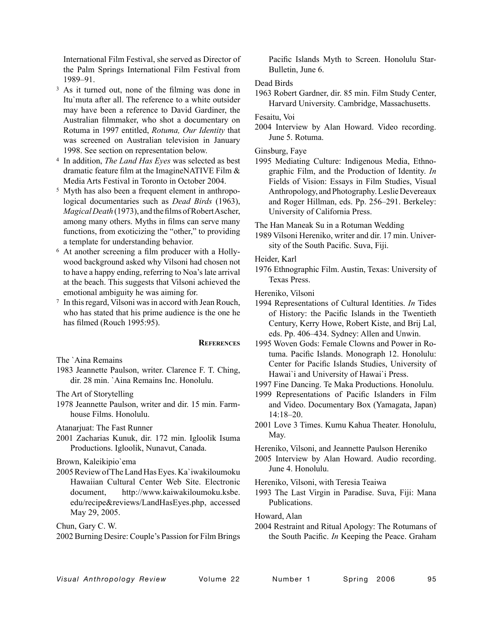International Film Festival, she served as Director of the Palm Springs International Film Festival from 1989–91.

- 3 As it turned out, none of the filming was done in Itu`muta after all. The reference to a white outsider may have been a reference to David Gardiner, the Australian filmmaker, who shot a documentary on Rotuma in 1997 entitled, *Rotuma, Our Identity* that was screened on Australian television in January 1998. See section on representation below.
- 4 In addition, *The Land Has Eyes* was selected as best dramatic feature film at the ImagineNATIVE Film & Media Arts Festival in Toronto in October 2004.
- 5 Myth has also been a frequent element in anthropological documentaries such as *Dead Birds* (1963), *Magical Death* (1973), and the films of Robert Ascher, among many others. Myths in films can serve many functions, from exoticizing the "other," to providing a template for understanding behavior.
- 6 At another screening a film producer with a Hollywood background asked why Vilsoni had chosen not to have a happy ending, referring to Noa's late arrival at the beach. This suggests that Vilsoni achieved the emotional ambiguity he was aiming for.
- 7 In this regard, Vilsoni was in accord with Jean Rouch, who has stated that his prime audience is the one he has filmed (Rouch 1995:95).

# **REFERENCES**

The `Aina Remains

1983 Jeannette Paulson, writer. Clarence F. T. Ching, dir. 28 min. `Aina Remains Inc. Honolulu.

The Art of Storytelling

1978 Jeannette Paulson, writer and dir. 15 min. Farmhouse Films. Honolulu.

Atanarjuat: The Fast Runner

- 2001 Zacharias Kunuk, dir. 172 min. Igloolik Isuma Productions. Igloolik, Nunavut, Canada.
- Brown, Kaleikipio`ema
- 2005 Review of The Land Has Eyes. Ka`iwakiloumoku Hawaiian Cultural Center Web Site. Electronic document, http://www.kaiwakiloumoku.ksbe. edu/recipe&reviews/LandHasEyes.php, accessed May 29, 2005.

Chun, Gary C. W.

2002 Burning Desire: Couple's Passion for Film Brings

Pacific Islands Myth to Screen. Honolulu Star-Bulletin, June 6.

# Dead Birds

1963 Robert Gardner, dir. 85 min. Film Study Center, Harvard University. Cambridge, Massachusetts.

Fesaitu, Voi

2004 Interview by Alan Howard. Video recording. June 5. Rotuma.

# Ginsburg, Faye

1995 Mediating Culture: Indigenous Media, Ethnographic Film, and the Production of Identity. *In* Fields of Vision: Essays in Film Studies, Visual Anthropology, and Photography. Leslie Devereaux and Roger Hillman, eds. Pp. 256–291. Berkeley: University of California Press.

The Han Maneak Su in a Rotuman Wedding

1989 Vilsoni Hereniko, writer and dir. 17 min. University of the South Pacific. Suva, Fiji.

Heider, Karl

1976 Ethnographic Film. Austin, Texas: University of Texas Press.

Hereniko, Vilsoni

- 1994 Representations of Cultural Identities. *In* Tides of History: the Pacific Islands in the Twentieth Century, Kerry Howe, Robert Kiste, and Brij Lal, eds. Pp. 406–434. Sydney: Allen and Unwin.
- 1995 Woven Gods: Female Clowns and Power in Rotuma. Pacific Islands. Monograph 12. Honolulu: Center for Pacific Islands Studies, University of Hawai`i and University of Hawai`i Press.
- 1997 Fine Dancing. Te Maka Productions. Honolulu.
- 1999 Representations of Pacific Islanders in Film and Video. Documentary Box (Yamagata, Japan)  $14.18 - 20$
- 2001 Love 3 Times. Kumu Kahua Theater. Honolulu, May.

Hereniko, Vilsoni, and Jeannette Paulson Hereniko

2005 Interview by Alan Howard. Audio recording. June 4. Honolulu.

Hereniko, Vilsoni, with Teresia Teaiwa

1993 The Last Virgin in Paradise. Suva, Fiji: Mana Publications.

Howard, Alan

2004 Restraint and Ritual Apology: The Rotumans of the South Pacific. *In* Keeping the Peace. Graham